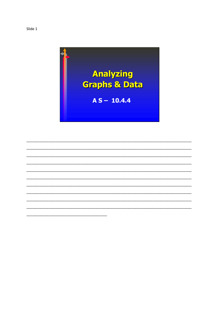

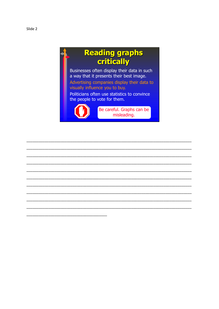## Reading graphs<br>
critically

Businesses often display their data in such a way that it presents their best image. Advertising companies display their data to visually influence you to buy. Politicians often use statistics to convince the people to vote for them.



Be careful. Graphs can be misleading.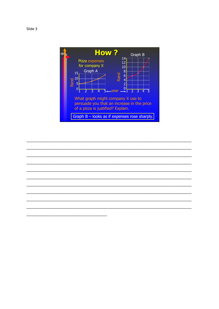

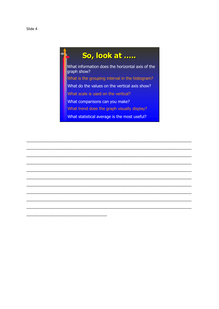## So, look at .....

What information does the horizontal axis of the graph show? What is the grouping interval in the histogram? What do the values on the vertical axis show? What scale is used on the vertical? What comparisons can you make? What trend does the graph visually display?

What statistical average is the most useful?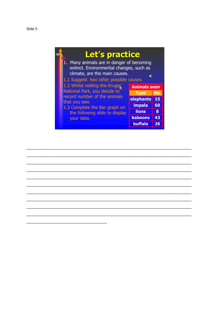| Let's practice<br>1. Many animals are in danger of becoming<br>extinct. Environmental changes, such as<br>climate, are the main causes.<br>$\blacksquare$                                                                                  |                                                                                                                   |                           |
|--------------------------------------------------------------------------------------------------------------------------------------------------------------------------------------------------------------------------------------------|-------------------------------------------------------------------------------------------------------------------|---------------------------|
| 1.1 Suggest two other possible causes.<br>1.2 Whilst visiting the Kruger<br>National Park, you decide to<br>record number of the animals<br>that you saw.<br>1.3 Complete the Bar graph on<br>the following slide to display<br>your data. | <b>Animals seen</b><br>Type No.<br>elephants<br><b>impala</b><br><b>lions</b><br><b>baboons</b><br><b>buffalo</b> | 15<br>60<br>8<br>43<br>26 |

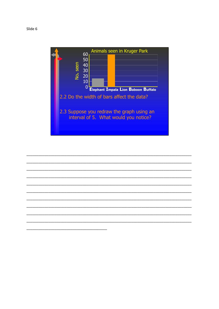Slide 6



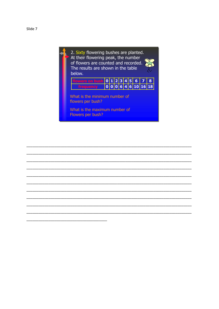

What is the maximum number of Flowers per bush? Flowers per bush?

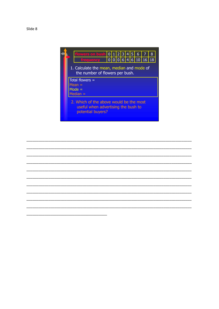

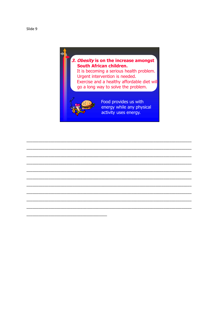## 3. Obesity is on the increase amongst South African children.

It is becoming a serious health problem. Urgent intervention is needed. Exercise and a healthy affordable diet wil go a long way to solve the problem.



Food provides us with energy while any physical activity uses energy.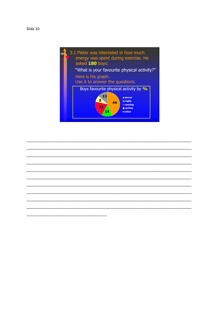Slide 10



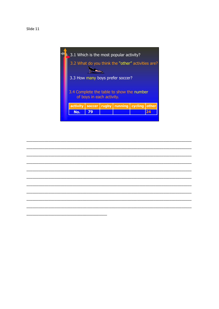

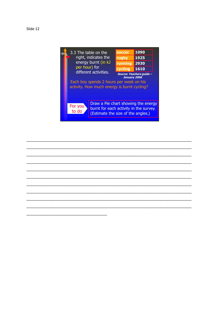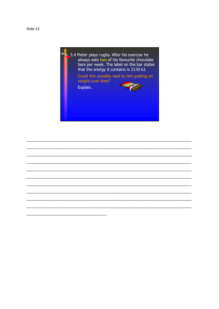Slide 13



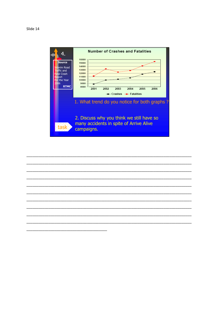